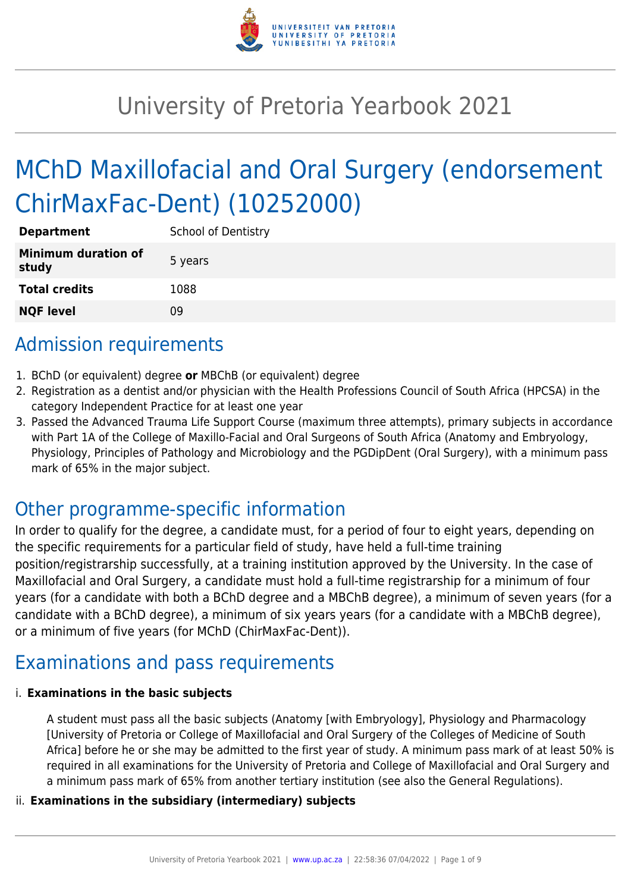

# University of Pretoria Yearbook 2021

# MChD Maxillofacial and Oral Surgery (endorsement ChirMaxFac-Dent) (10252000)

| <b>Department</b>                   | <b>School of Dentistry</b> |
|-------------------------------------|----------------------------|
| <b>Minimum duration of</b><br>study | 5 years                    |
| <b>Total credits</b>                | 1088                       |
| <b>NQF level</b>                    | Ωd                         |

# Admission requirements

- 1. BChD (or equivalent) degree **or** MBChB (or equivalent) degree
- 2. Registration as a dentist and/or physician with the Health Professions Council of South Africa (HPCSA) in the category Independent Practice for at least one year
- 3. Passed the Advanced Trauma Life Support Course (maximum three attempts), primary subjects in accordance with Part 1A of the College of Maxillo-Facial and Oral Surgeons of South Africa (Anatomy and Embryology, Physiology, Principles of Pathology and Microbiology and the PGDipDent (Oral Surgery), with a minimum pass mark of 65% in the major subject.

### Other programme-specific information

In order to qualify for the degree, a candidate must, for a period of four to eight years, depending on the specific requirements for a particular field of study, have held a full-time training position/registrarship successfully, at a training institution approved by the University. In the case of Maxillofacial and Oral Surgery, a candidate must hold a full-time registrarship for a minimum of four years (for a candidate with both a BChD degree and a MBChB degree), a minimum of seven years (for a candidate with a BChD degree), a minimum of six years years (for a candidate with a MBChB degree), or a minimum of five years (for MChD (ChirMaxFac-Dent)).

# Examinations and pass requirements

#### i. **Examinations in the basic subjects**

A student must pass all the basic subjects (Anatomy [with Embryology], Physiology and Pharmacology [University of Pretoria or College of Maxillofacial and Oral Surgery of the Colleges of Medicine of South Africa] before he or she may be admitted to the first year of study. A minimum pass mark of at least 50% is required in all examinations for the University of Pretoria and College of Maxillofacial and Oral Surgery and a minimum pass mark of 65% from another tertiary institution (see also the General Regulations).

#### ii. **Examinations in the subsidiary (intermediary) subjects**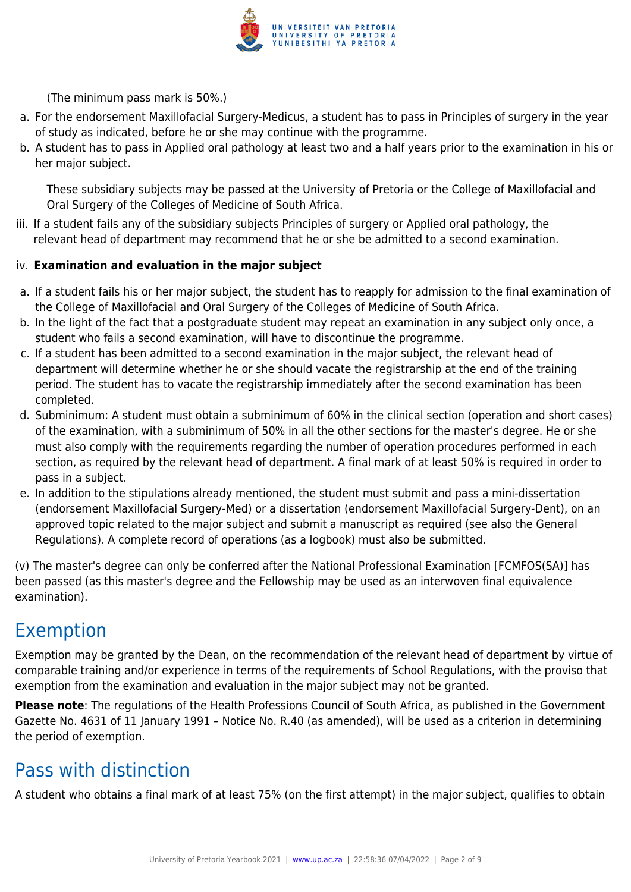

(The minimum pass mark is 50%.)

- a. For the endorsement Maxillofacial Surgery-Medicus, a student has to pass in Principles of surgery in the year of study as indicated, before he or she may continue with the programme.
- b. A student has to pass in Applied oral pathology at least two and a half years prior to the examination in his or her major subject.

These subsidiary subjects may be passed at the University of Pretoria or the College of Maxillofacial and Oral Surgery of the Colleges of Medicine of South Africa.

iii. If a student fails any of the subsidiary subjects Principles of surgery or Applied oral pathology, the relevant head of department may recommend that he or she be admitted to a second examination.

#### iv. **Examination and evaluation in the major subject**

- a. If a student fails his or her major subject, the student has to reapply for admission to the final examination of the College of Maxillofacial and Oral Surgery of the Colleges of Medicine of South Africa.
- b. In the light of the fact that a postgraduate student may repeat an examination in any subject only once, a student who fails a second examination, will have to discontinue the programme.
- c. If a student has been admitted to a second examination in the major subject, the relevant head of department will determine whether he or she should vacate the registrarship at the end of the training period. The student has to vacate the registrarship immediately after the second examination has been completed.
- d. Subminimum: A student must obtain a subminimum of 60% in the clinical section (operation and short cases) of the examination, with a subminimum of 50% in all the other sections for the master's degree. He or she must also comply with the requirements regarding the number of operation procedures performed in each section, as required by the relevant head of department. A final mark of at least 50% is required in order to pass in a subject.
- e. In addition to the stipulations already mentioned, the student must submit and pass a mini-dissertation (endorsement Maxillofacial Surgery-Med) or a dissertation (endorsement Maxillofacial Surgery-Dent), on an approved topic related to the major subject and submit a manuscript as required (see also the General Regulations). A complete record of operations (as a logbook) must also be submitted.

(v) The master's degree can only be conferred after the National Professional Examination [FCMFOS(SA)] has been passed (as this master's degree and the Fellowship may be used as an interwoven final equivalence examination).

### Exemption

Exemption may be granted by the Dean, on the recommendation of the relevant head of department by virtue of comparable training and/or experience in terms of the requirements of School Regulations, with the proviso that exemption from the examination and evaluation in the major subject may not be granted.

**Please note**: The regulations of the Health Professions Council of South Africa, as published in the Government Gazette No. 4631 of 11 January 1991 – Notice No. R.40 (as amended), will be used as a criterion in determining the period of exemption.

### Pass with distinction

A student who obtains a final mark of at least 75% (on the first attempt) in the major subject, qualifies to obtain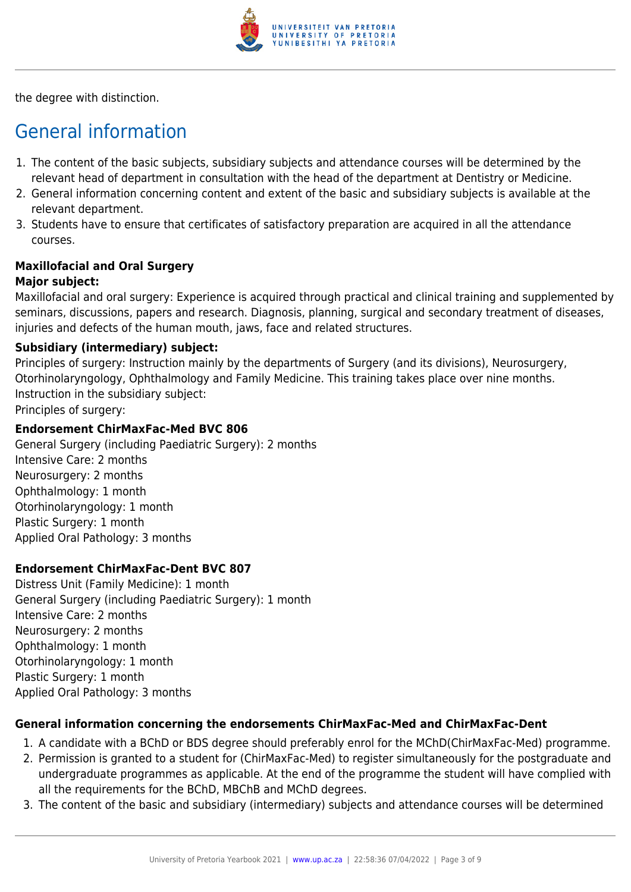

the degree with distinction.

# General information

- 1. The content of the basic subjects, subsidiary subjects and attendance courses will be determined by the relevant head of department in consultation with the head of the department at Dentistry or Medicine.
- 2. General information concerning content and extent of the basic and subsidiary subjects is available at the relevant department.
- 3. Students have to ensure that certificates of satisfactory preparation are acquired in all the attendance courses.

# **Maxillofacial and Oral Surgery**

### **Major subject:**

Maxillofacial and oral surgery: Experience is acquired through practical and clinical training and supplemented by seminars, discussions, papers and research. Diagnosis, planning, surgical and secondary treatment of diseases, injuries and defects of the human mouth, jaws, face and related structures.

#### **Subsidiary (intermediary) subject:**

Principles of surgery: Instruction mainly by the departments of Surgery (and its divisions), Neurosurgery, Otorhinolaryngology, Ophthalmology and Family Medicine. This training takes place over nine months. Instruction in the subsidiary subject: Principles of surgery:

#### **Endorsement ChirMaxFac-Med BVC 806**

General Surgery (including Paediatric Surgery): 2 months Intensive Care: 2 months Neurosurgery: 2 months Ophthalmology: 1 month Otorhinolaryngology: 1 month Plastic Surgery: 1 month Applied Oral Pathology: 3 months

#### **Endorsement ChirMaxFac-Dent BVC 807**

Distress Unit (Family Medicine): 1 month General Surgery (including Paediatric Surgery): 1 month Intensive Care: 2 months Neurosurgery: 2 months Ophthalmology: 1 month Otorhinolaryngology: 1 month Plastic Surgery: 1 month Applied Oral Pathology: 3 months

#### **General information concerning the endorsements ChirMaxFac-Med and ChirMaxFac-Dent**

- 1. A candidate with a BChD or BDS degree should preferably enrol for the MChD(ChirMaxFac-Med) programme.
- 2. Permission is granted to a student for (ChirMaxFac-Med) to register simultaneously for the postgraduate and undergraduate programmes as applicable. At the end of the programme the student will have complied with all the requirements for the BChD, MBChB and MChD degrees.
- 3. The content of the basic and subsidiary (intermediary) subjects and attendance courses will be determined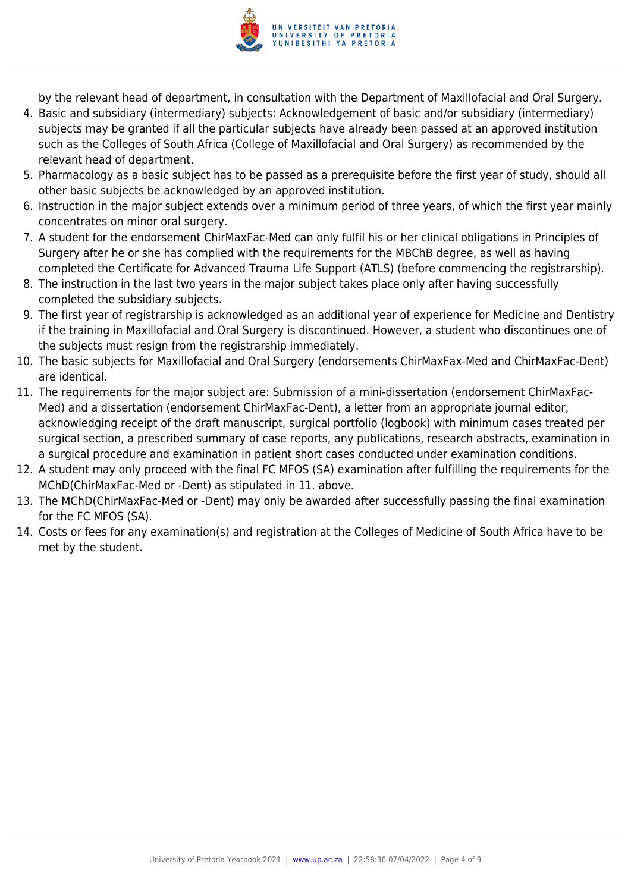

by the relevant head of department, in consultation with the Department of Maxillofacial and Oral Surgery.

- 4. Basic and subsidiary (intermediary) subjects: Acknowledgement of basic and/or subsidiary (intermediary) subjects may be granted if all the particular subjects have already been passed at an approved institution such as the Colleges of South Africa (College of Maxillofacial and Oral Surgery) as recommended by the relevant head of department.
- 5. Pharmacology as a basic subject has to be passed as a prerequisite before the first year of study, should all other basic subjects be acknowledged by an approved institution.
- 6. Instruction in the major subject extends over a minimum period of three years, of which the first year mainly concentrates on minor oral surgery.
- 7. A student for the endorsement ChirMaxFac-Med can only fulfil his or her clinical obligations in Principles of Surgery after he or she has complied with the requirements for the MBChB degree, as well as having completed the Certificate for Advanced Trauma Life Support (ATLS) (before commencing the registrarship).
- 8. The instruction in the last two years in the major subject takes place only after having successfully completed the subsidiary subjects.
- 9. The first year of registrarship is acknowledged as an additional year of experience for Medicine and Dentistry if the training in Maxillofacial and Oral Surgery is discontinued. However, a student who discontinues one of the subjects must resign from the registrarship immediately.
- 10. The basic subjects for Maxillofacial and Oral Surgery (endorsements ChirMaxFax-Med and ChirMaxFac-Dent) are identical.
- 11. The requirements for the major subject are: Submission of a mini-dissertation (endorsement ChirMaxFac-Med) and a dissertation (endorsement ChirMaxFac-Dent), a letter from an appropriate journal editor, acknowledging receipt of the draft manuscript, surgical portfolio (logbook) with minimum cases treated per surgical section, a prescribed summary of case reports, any publications, research abstracts, examination in a surgical procedure and examination in patient short cases conducted under examination conditions.
- 12. A student may only proceed with the final FC MFOS (SA) examination after fulfilling the requirements for the MChD(ChirMaxFac-Med or -Dent) as stipulated in 11. above.
- 13. The MChD(ChirMaxFac-Med or -Dent) may only be awarded after successfully passing the final examination for the FC MFOS (SA).
- 14. Costs or fees for any examination(s) and registration at the Colleges of Medicine of South Africa have to be met by the student.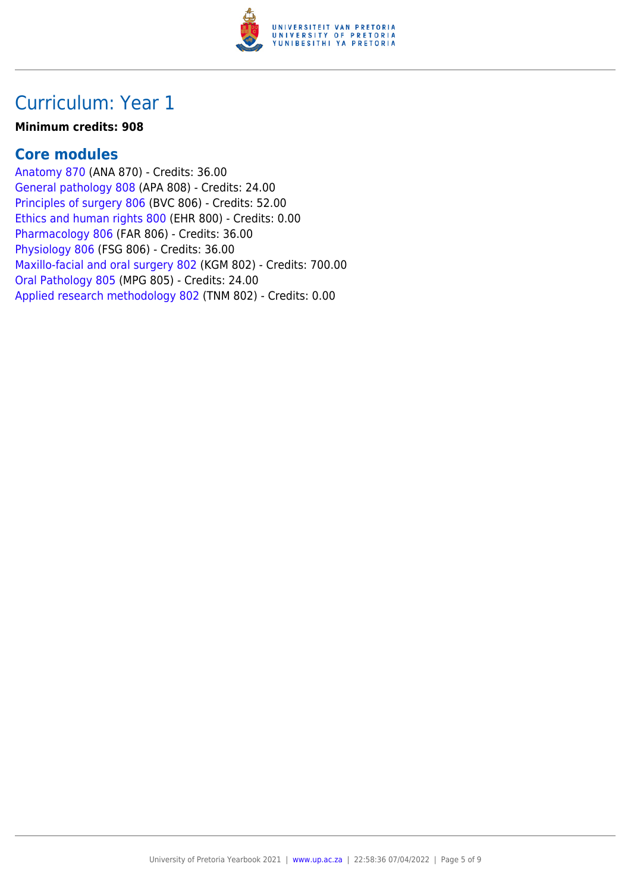

#### **Minimum credits: 908**

#### **Core modules**

[Anatomy 870](https://www.up.ac.za/faculty-of-education/yearbooks/2021/modules/view/ANA 870) (ANA 870) - Credits: 36.00 [General pathology 808](https://www.up.ac.za/faculty-of-education/yearbooks/2021/modules/view/APA 808) (APA 808) - Credits: 24.00 [Principles of surgery 806](https://www.up.ac.za/faculty-of-education/yearbooks/2021/modules/view/BVC 806) (BVC 806) - Credits: 52.00 [Ethics and human rights 800](https://www.up.ac.za/faculty-of-education/yearbooks/2021/modules/view/EHR 800) (EHR 800) - Credits: 0.00 [Pharmacology 806](https://www.up.ac.za/faculty-of-education/yearbooks/2021/modules/view/FAR 806) (FAR 806) - Credits: 36.00 [Physiology 806](https://www.up.ac.za/faculty-of-education/yearbooks/2021/modules/view/FSG 806) (FSG 806) - Credits: 36.00 [Maxillo-facial and oral surgery 802](https://www.up.ac.za/faculty-of-education/yearbooks/2021/modules/view/KGM 802) (KGM 802) - Credits: 700.00 [Oral Pathology 805](https://www.up.ac.za/faculty-of-education/yearbooks/2021/modules/view/MPG 805) (MPG 805) - Credits: 24.00 [Applied research methodology 802](https://www.up.ac.za/faculty-of-education/yearbooks/2021/modules/view/TNM 802) (TNM 802) - Credits: 0.00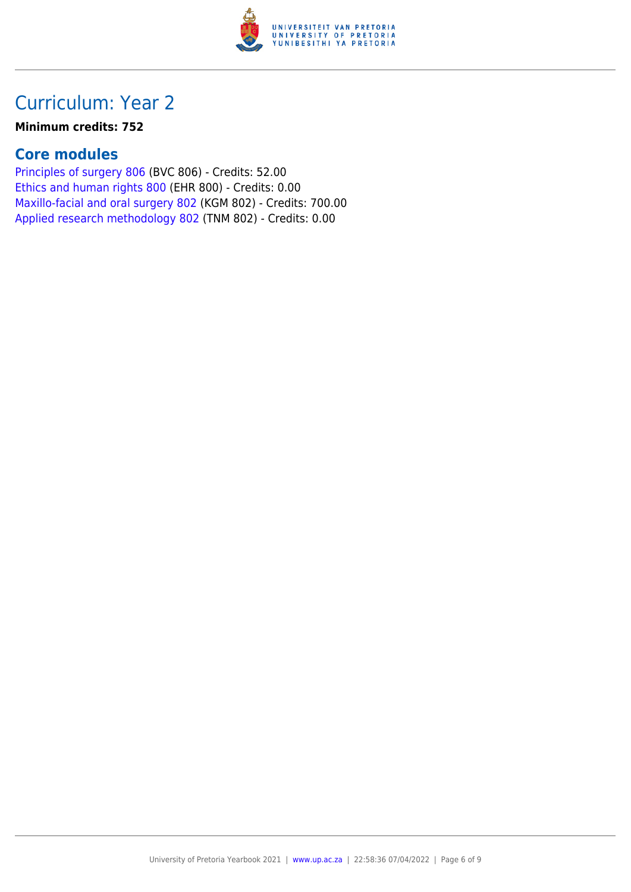

#### **Minimum credits: 752**

### **Core modules**

[Principles of surgery 806](https://www.up.ac.za/faculty-of-education/yearbooks/2021/modules/view/BVC 806) (BVC 806) - Credits: 52.00 [Ethics and human rights 800](https://www.up.ac.za/faculty-of-education/yearbooks/2021/modules/view/EHR 800) (EHR 800) - Credits: 0.00 [Maxillo-facial and oral surgery 802](https://www.up.ac.za/faculty-of-education/yearbooks/2021/modules/view/KGM 802) (KGM 802) - Credits: 700.00 [Applied research methodology 802](https://www.up.ac.za/faculty-of-education/yearbooks/2021/modules/view/TNM 802) (TNM 802) - Credits: 0.00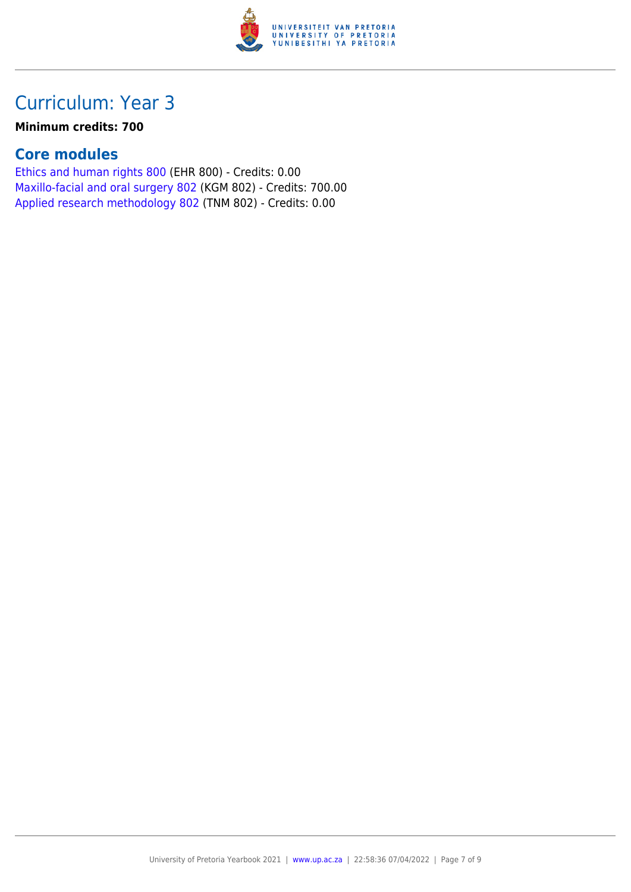

#### **Minimum credits: 700**

### **Core modules**

[Ethics and human rights 800](https://www.up.ac.za/faculty-of-education/yearbooks/2021/modules/view/EHR 800) (EHR 800) - Credits: 0.00 [Maxillo-facial and oral surgery 802](https://www.up.ac.za/faculty-of-education/yearbooks/2021/modules/view/KGM 802) (KGM 802) - Credits: 700.00 [Applied research methodology 802](https://www.up.ac.za/faculty-of-education/yearbooks/2021/modules/view/TNM 802) (TNM 802) - Credits: 0.00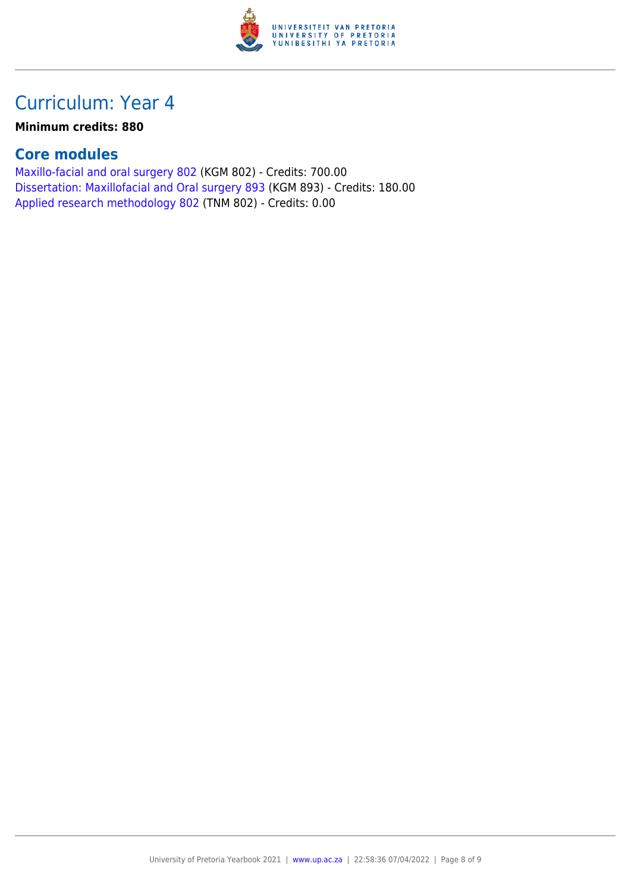

#### **Minimum credits: 880**

### **Core modules**

[Maxillo-facial and oral surgery 802](https://www.up.ac.za/faculty-of-education/yearbooks/2021/modules/view/KGM 802) (KGM 802) - Credits: 700.00 [Dissertation: Maxillofacial and Oral surgery 893](https://www.up.ac.za/faculty-of-education/yearbooks/2021/modules/view/KGM 893) (KGM 893) - Credits: 180.00 [Applied research methodology 802](https://www.up.ac.za/faculty-of-education/yearbooks/2021/modules/view/TNM 802) (TNM 802) - Credits: 0.00